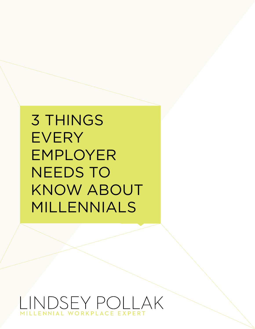3 THINGS **EVERY** EMPLOYER NEEDS TO KNOW ABOUT MILLENNIALS

OSEY POLLAK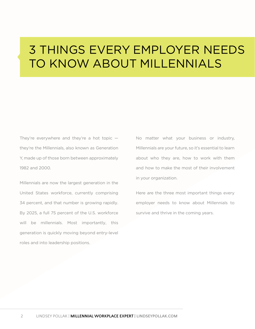# 3 THINGS EVERY EMPLOYER NEEDS TO KNOW ABOUT MILLENNIALS

They're everywhere and they're a hot topic  $$ they're the Millennials, also known as Generation Y, made up of those born between approximately 1982 and 2000.

Millennials are now the largest generation in the United States workforce, currently comprising 34 percent, and that number is growing rapidly. By 2025, a full 75 percent of the U.S. workforce will be millennials. Most importantly, this generation is quickly moving beyond entry-level roles and into leadership positions.

No matter what your business or industry, Millennials are your future, so it's essential to learn about who they are, how to work with them and how to make the most of their involvement in your organization.

Here are the three most important things every employer needs to know about Millennials to survive and thrive in the coming years.

2 LINDSEY POLLAK | **MILLENNIAL WORKPLACE EXPERT | [LINDSEYPOLLAK.COM](http://www.lindseypollak.com/)**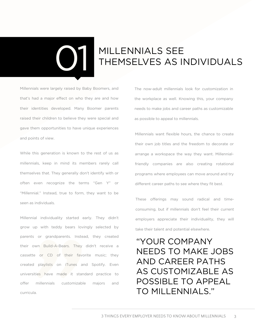# MILLENNIALS SEE THEMSELVES AS I THEMSELVES AS INDIVIDUALS

Millennials were largely raised by Baby Boomers, and that's had a major effect on who they are and how their identities developed. Many Boomer parents raised their children to believe they were special and gave them opportunities to have unique experiences and points of view.

While this generation is known to the rest of us as millennials, keep in mind its members rarely call themselves that. They generally don't identify with or often even recognize the terms "Gen Y" or "Millennial." Instead, true to form, they want to be seen as individuals.

Millennial individuality started early. They didn't grow up with teddy bears lovingly selected by parents or grandparents. Instead, they created their own Build-A-Bears. They didn't receive a cassette or CD of their favorite music; they created playlists on iTunes and Spotify. Even universities have made it standard practice to offer millennials customizable majors and curricula.

The now-adult millennials look for customization in the workplace as well. Knowing this, your company needs to make jobs and career paths as customizable as possible to appeal to millennials.

Millennials want flexible hours, the chance to create their own job titles and the freedom to decorate or arrange a workspace the way they want. Millennialfriendly companies are also creating rotational programs where employees can move around and try different career paths to see where they fit best.

These offerings may sound radical and timeconsuming, but if millennials don't feel their current employers appreciate their individuality, they will take their talent and potential elsewhere.

"YOUR COMPANY NEEDS TO MAKE JOBS AND CAREER PATHS AS CUSTOMIZABLE AS POSSIBLE TO APPEAL TO MILLENNIALS."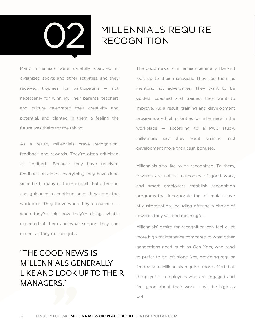

### **MILLENNIALS REQUIRE** RECOGNITION

Many millennials were carefully coached in organized sports and other activities, and they received trophies for participating — not necessarily for winning. Their parents, teachers and culture celebrated their creativity and potential, and planted in them a feeling the future was theirs for the taking.

As a result, millennials crave recognition, feedback and rewards. They're often criticized as "entitled." Because they have received feedback on almost everything they have done since birth, many of them expect that attention and guidance to continue once they enter the workforce. They thrive when they're coached when they're told how they're doing, what's expected of them and what support they can expect as they do their jobs.

#### "THE GOOD NEWS IS MILLENNIALS GENERALLY LIKE AND LOOK UP TO THEIR MANAGERS."

The good news is millennials generally like and look up to their managers. They see them as mentors, not adversaries. They want to be guided, coached and trained; they want to improve. As a result, training and development programs are high priorities for millennials in the workplace [— according](http://www.pwc.com/en_M1/m1/services/consulting/documents/millennials-at-work.pdf) to a PwC study, millennials say they want training and development more than cash bonuses.

Millennials also like to be recognized. To them, rewards are natural outcomes of good work, and smart employers establish recognition programs that incorporate the millennials' love of customization, including offering a choice of rewards they will find meaningful.

Millennials' desire for recognition can feel a lot more high-maintenance compared to what other generations need, such as Gen Xers, who tend to prefer to be left alone. Yes, providing regular feedback to Millennials requires more effort, but the payoff — employees who are engaged and feel good about their work — will be high as well.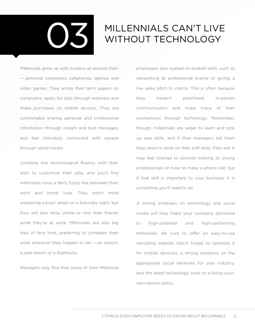

## MILLENNIALS CAN'T LIVE WITHOUT TECHNOLOGY

Millennials grew up with screens all around them — personal computers, cellphones, laptops and video games. They wrote their term papers on computers, apply for jobs through websites and make purchases on mobile devices. They are comfortable sharing personal and professional information through instant and text messages, and feel intimately connected with people through social media.

Combine this technological fluency with their wish to customize their jobs, and you'll find millennials have a fairly fuzzy line between their work and home lives. They won't mind answering a boss' email on a Saturday night, but they will also shop online or text their friends while they're at work. Millennials are also big foes of face time, preferring to complete their work wherever they happen to be  $-$  an airport, a park bench or a Starbucks.

Managers may find that some of their Millennial

employees lack eyeball-to-eyeball skills, such as networking at professional events or giving a live sales pitch to clients. This is often because they haven't prioritized in-person communication and make many of their connections through technology. Remember, though, millennials are eager to learn and pick up new skills, and if their managers tell them they need to work on their soft skills, they will. It may feel strange to provide training to young professionals on how to make a phone call, but if that skill is important to your business, it is something you'll need to do.

A strong emphasis on technology and social media will help make your company attractive to high-potential and high-performing millennials. Be sure to offer an easy-to-use recruiting website (don't forget to optimize it for mobile devices), a strong presence on the appropriate social networks for your industry, and the latest technology tools or a bring-yourown-device policy.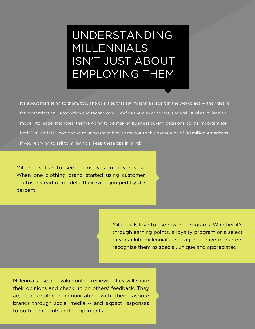## UNDERSTANDING MILLENNIALS ISN'T JUST ABOUT EMPLOYING THEM

It's about marketing to them, too. The qualities that set millennials apart in the workplace — their desire for customization, recognition and technology — define them as consumers as well. And as millennials move into leadership roles, they're going to be making business buying decisions, so it's important for both B2C and B2B companies to understand how to market to this generation of 80 million Americans. If you're trying to sell to millennials, keep these tips in mind:

Millennials like to see themselves in advertising. When one clothing brand started using customer photos instead of models, their sales jumped by 40 percent.

> Millennials love to use reward programs. Whether it's through earning points, a loyalty program or a select buyers club, millennials are eager to have marketers recognize them as special, unique and appreciated.

Millennials use and value online reviews. They will share their opinions and check up on others' feedback. They are comfortable communicating with their favorite brands through social media -- and expect responses to both complaints and compliments.